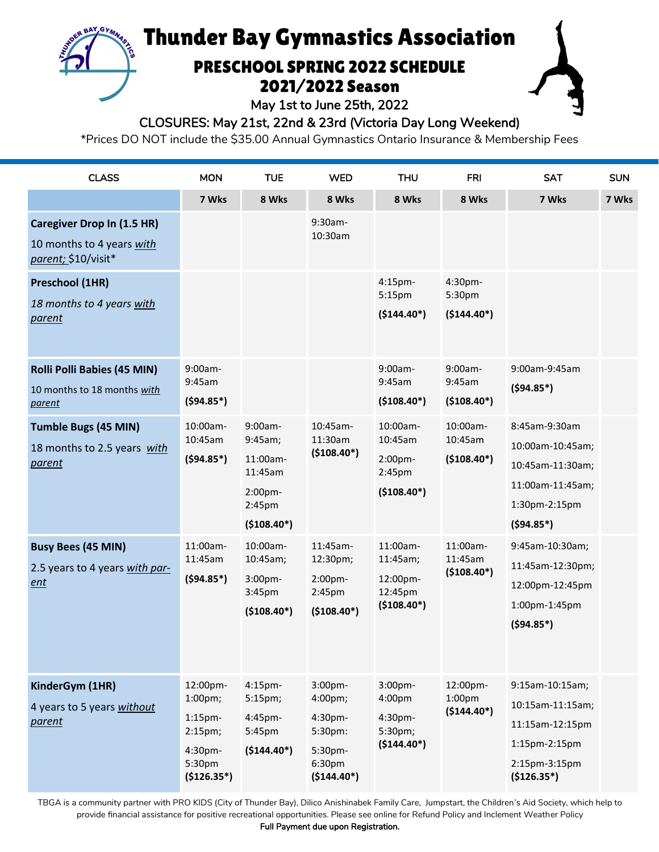# Thunder Bay Gymnastics Association

**BAY, GYM** 

## PRESCHOOL SPRING 2022 SCHEDULE 2021/2022 Season

May 1st to June 25th, 2022

CLOSURES: May 21st, 22nd & 23rd (Victoria Day Long Weekend)

\*Prices DO NOT include the \$35.00 Annual Gymnastics Ontario Insurance & Membership Fees

| <b>CLASS</b>                                                                                                                                           | <b>MON</b>                                                                                  | <b>TUE</b>                                                                     | <b>WED</b>                                                                                | <b>THU</b>                                                  | <b>FRI</b>                                     | <b>SAT</b>                                                                                                      | <b>SUN</b> |
|--------------------------------------------------------------------------------------------------------------------------------------------------------|---------------------------------------------------------------------------------------------|--------------------------------------------------------------------------------|-------------------------------------------------------------------------------------------|-------------------------------------------------------------|------------------------------------------------|-----------------------------------------------------------------------------------------------------------------|------------|
|                                                                                                                                                        | 7 Wks                                                                                       | 8 Wks                                                                          | 8 Wks                                                                                     | 8 Wks                                                       | 8 Wks                                          | 7 Wks                                                                                                           | 7 Wks      |
| <b>Caregiver Drop In (1.5 HR)</b><br>10 months to 4 years with<br>parent; \$10/visit*<br>Preschool (1HR)<br>18 months to 4 years with<br><u>parent</u> |                                                                                             |                                                                                | 9:30am-<br>10:30am                                                                        | 4:15pm-<br>5:15pm<br>$($144.40*)$                           | 4:30pm-<br>5:30pm<br>$($144.40*)$              |                                                                                                                 |            |
| <b>Rolli Polli Babies (45 MIN)</b><br>10 months to 18 months with<br>parent                                                                            | $9:00am -$<br>9:45am<br>$(594.85*)$                                                         |                                                                                |                                                                                           | 9:00am-<br>9:45am<br>$($108.40*)$                           | 9:00am-<br>9:45am<br>$($108.40*)$              | 9:00am-9:45am<br>$(594.85*)$                                                                                    |            |
| <b>Tumble Bugs (45 MIN)</b><br>18 months to 2.5 years with<br>parent                                                                                   | 10:00am-<br>10:45am<br>$(594.85*)$                                                          | 9:00am-<br>9:45am;<br>11:00am-<br>11:45am<br>2:00pm-<br>2:45pm<br>$($108.40*)$ | 10:45am-<br>11:30am<br>$(5108.40*)$                                                       | 10:00am-<br>10:45am<br>2:00pm-<br>2:45pm<br>$($108.40*)$    | 10:00am-<br>10:45am<br>$($108.40*)$            | 8:45am-9:30am<br>10:00am-10:45am;<br>10:45am-11:30am;<br>11:00am-11:45am;<br>1:30pm-2:15pm<br>$(594.85*)$       |            |
| <b>Busy Bees (45 MIN)</b><br>2.5 years to 4 years with par-<br>ent                                                                                     | 11:00am-<br>11:45am<br>$(594.85*)$                                                          | 10:00am-<br>10:45am;<br>3:00pm-<br>3:45pm<br>$($108.40*)$                      | 11:45am-<br>12:30pm;<br>2:00pm-<br>2:45 <sub>pm</sub><br>$($108.40*)$                     | 11:00am-<br>11:45am;<br>12:00pm-<br>12:45pm<br>$($108.40*)$ | 11:00am-<br>11:45am<br>$($108.40*)$            | 9:45am-10:30am;<br>11:45am-12:30pm;<br>12:00pm-12:45pm<br>1:00pm-1:45pm<br>$(594.85*)$                          |            |
| KinderGym (1HR)<br>4 years to 5 years without<br>parent                                                                                                | 12:00pm-<br>$1:00 \text{pm};$<br>$1:15$ pm-<br>2:15pm;<br>4:30pm-<br>5:30pm<br>$($126.35*)$ | 4:15pm-<br>5:15pm;<br>4:45pm-<br>5:45pm<br>$(5144.40*)$                        | 3:00pm-<br>4:00pm;<br>4:30pm-<br>5:30pm:<br>5:30pm-<br>6:30 <sub>pm</sub><br>$($144.40*)$ | 3:00pm-<br>4:00pm<br>4:30pm-<br>5:30pm;<br>$($144.40*)$     | 12:00pm-<br>1:00 <sub>pm</sub><br>$($144.40*)$ | 9:15am-10:15am;<br>10:15am-11:15am;<br>11:15am-12:15pm<br>$1:15$ pm- $2:15$ pm<br>2:15pm-3:15pm<br>$($126.35*)$ |            |

TBGA is a community partner with PRO KIDS (City of Thunder Bay), Dilico Anishinabek Family Care, Jumpstart, the Children's Aid Society, which help to provide financial assistance for positive recreational opportunities. Please see online for Refund Policy and Inclement Weather Policy

Full Payment due upon Registration.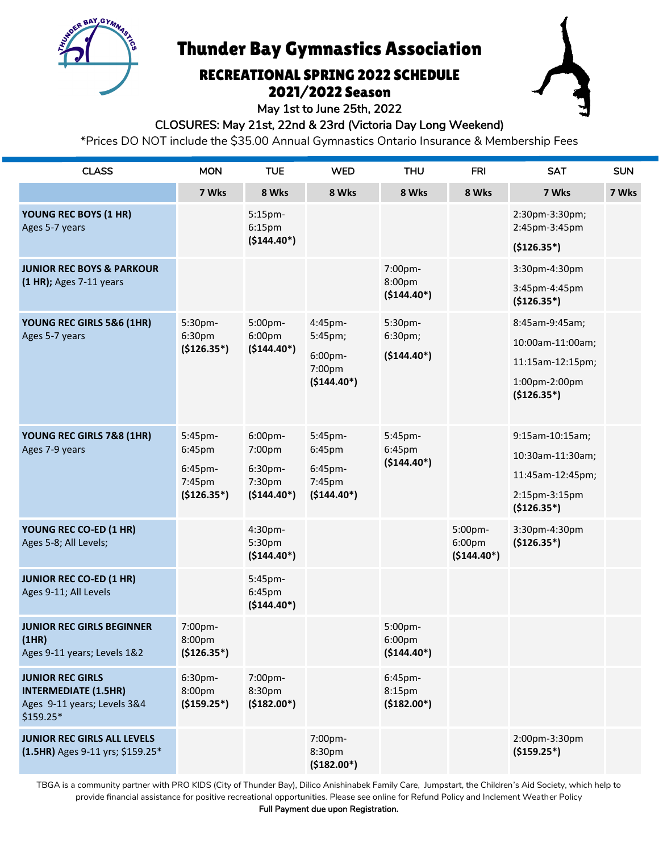Thunder Bay Gymnastics Association

BAY GYMA

## RECREATIONAL SPRING 2022 SCHEDULE 2021/2022 Season



May 1st to June 25th, 2022

#### CLOSURES: May 21st, 22nd & 23rd (Victoria Day Long Weekend)

\*Prices DO NOT include the \$35.00 Annual Gymnastics Ontario Insurance & Membership Fees

| <b>CLASS</b>                                                    | <b>MON</b>                        | <b>TUE</b>                                    | <b>WED</b>                                              | <b>THU</b>                         | <b>FRI</b>                                    | <b>SAT</b>                      | <b>SUN</b> |
|-----------------------------------------------------------------|-----------------------------------|-----------------------------------------------|---------------------------------------------------------|------------------------------------|-----------------------------------------------|---------------------------------|------------|
|                                                                 | 7 Wks                             | 8 Wks                                         | 8 Wks                                                   | 8 Wks                              | 8 Wks                                         | 7 Wks                           | 7 Wks      |
| YOUNG REC BOYS (1 HR)<br>Ages 5-7 years                         |                                   | 5:15pm-<br>6:15 <sub>pm</sub>                 |                                                         |                                    |                                               | 2:30pm-3:30pm;<br>2:45pm-3:45pm |            |
|                                                                 |                                   | $($144.40*)$                                  |                                                         |                                    |                                               | $($126.35*)$                    |            |
| <b>JUNIOR REC BOYS &amp; PARKOUR</b>                            |                                   |                                               |                                                         | 7:00pm-                            |                                               | 3:30pm-4:30pm                   |            |
| (1 HR); Ages 7-11 years                                         |                                   |                                               |                                                         | 8:00pm<br>$($144.40*)$             |                                               | 3:45pm-4:45pm<br>$($126.35*)$   |            |
| YOUNG REC GIRLS 5&6 (1HR)<br>Ages 5-7 years                     | 5:30pm-<br>6:30pm<br>$($126.35*)$ | 5:00pm-<br>6:00 <sub>pm</sub><br>$($144.40*)$ | 4:45pm-<br>5:45pm;<br>6:00pm-<br>7:00pm<br>$($144.40*)$ | 5:30pm-<br>6:30pm;<br>$($144.40*)$ |                                               | 8:45am-9:45am;                  |            |
|                                                                 |                                   |                                               |                                                         |                                    |                                               | 10:00am-11:00am;                |            |
|                                                                 |                                   |                                               |                                                         |                                    |                                               | 11:15am-12:15pm;                |            |
|                                                                 |                                   |                                               |                                                         |                                    |                                               | 1:00pm-2:00pm<br>$($126.35*)$   |            |
| YOUNG REC GIRLS 7&8 (1HR)                                       | 5:45pm-                           | 6:00pm-                                       | 5:45pm-                                                 | 5:45pm-                            |                                               | 9:15am-10:15am;                 |            |
| Ages 7-9 years                                                  | 6:45pm<br>6:45pm-<br>7:45pm       | 7:00pm<br>6:30pm-<br>7:30pm                   | 6:45pm<br>6:45pm-<br>7:45pm                             | 6:45pm<br>$($144.40*)$             |                                               | 10:30am-11:30am;                |            |
|                                                                 |                                   |                                               |                                                         |                                    |                                               | 11:45am-12:45pm;                |            |
|                                                                 | $($126.35*)$                      | $($144.40*)$                                  | $($144.40*)$                                            |                                    |                                               | 2:15pm-3:15pm<br>$($126.35*)$   |            |
| YOUNG REC CO-ED (1 HR)<br>Ages 5-8; All Levels;                 |                                   | 4:30pm-<br>5:30pm<br>$($144.40*)$             |                                                         |                                    | 5:00pm-<br>6:00 <sub>pm</sub><br>$($144.40*)$ | 3:30pm-4:30pm<br>$($126.35*)$   |            |
| <b>JUNIOR REC CO-ED (1 HR)</b><br>Ages 9-11; All Levels         |                                   | 5:45pm-<br>6:45pm<br>$($144.40*)$             |                                                         |                                    |                                               |                                 |            |
| <b>JUNIOR REC GIRLS BEGINNER</b>                                | 7:00pm-                           |                                               |                                                         | 5:00pm-                            |                                               |                                 |            |
| (1HR)<br>Ages 9-11 years; Levels 1&2                            | 8:00pm<br>$($126.35*)$            |                                               |                                                         | 6:00pm<br>$($144.40*)$             |                                               |                                 |            |
| <b>JUNIOR REC GIRLS</b><br><b>INTERMEDIATE (1.5HR)</b>          | 6:30pm-<br>8:00pm                 | 7:00pm-<br>8:30pm                             |                                                         | 6:45pm-<br>8:15pm                  |                                               |                                 |            |
| Ages 9-11 years; Levels 3&4<br>\$159.25*                        | $($159.25*)$                      | $($182.00*)$                                  |                                                         | $($182.00*)$                       |                                               |                                 |            |
| JUNIOR REC GIRLS ALL LEVELS<br>(1.5HR) Ages 9-11 yrs; \$159.25* |                                   |                                               | 7:00pm-<br>8:30pm<br>$($182.00*)$                       |                                    |                                               | 2:00pm-3:30pm<br>$($159.25*)$   |            |

TBGA is a community partner with PRO KIDS (City of Thunder Bay), Dilico Anishinabek Family Care, Jumpstart, the Children's Aid Society, which help to provide financial assistance for positive recreational opportunities. Please see online for Refund Policy and Inclement Weather Policy